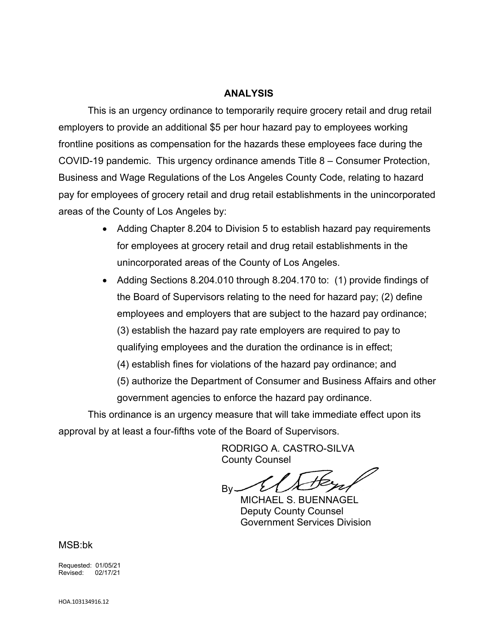## **ANALYSIS**

This is an urgency ordinance to temporarily require grocery retail and drug retail employers to provide an additional \$5 per hour hazard pay to employees working frontline positions as compensation for the hazards these employees face during the COVID-19 pandemic. This urgency ordinance amends Title 8 – Consumer Protection, Business and Wage Regulations of the Los Angeles County Code, relating to hazard pay for employees of grocery retail and drug retail establishments in the unincorporated areas of the County of Los Angeles by:

- Adding Chapter 8.204 to Division 5 to establish hazard pay requirements for employees at grocery retail and drug retail establishments in the unincorporated areas of the County of Los Angeles.
- Adding Sections 8.204.010 through 8.204.170 to: (1) provide findings of the Board of Supervisors relating to the need for hazard pay; (2) define employees and employers that are subject to the hazard pay ordinance; (3) establish the hazard pay rate employers are required to pay to qualifying employees and the duration the ordinance is in effect; (4) establish fines for violations of the hazard pay ordinance; and (5) authorize the Department of Consumer and Business Affairs and other government agencies to enforce the hazard pay ordinance.

This ordinance is an urgency measure that will take immediate effect upon its approval by at least a four-fifths vote of the Board of Supervisors.

> RODRIGO A. CASTRO-SILVA County Counsel

Bv.

MICHAEL S. BUENNAGEL Deputy County Counsel Government Services Division

MSB:bk

Requested: 01/05/21 Revised: 02/17/21

HOA.103134916.12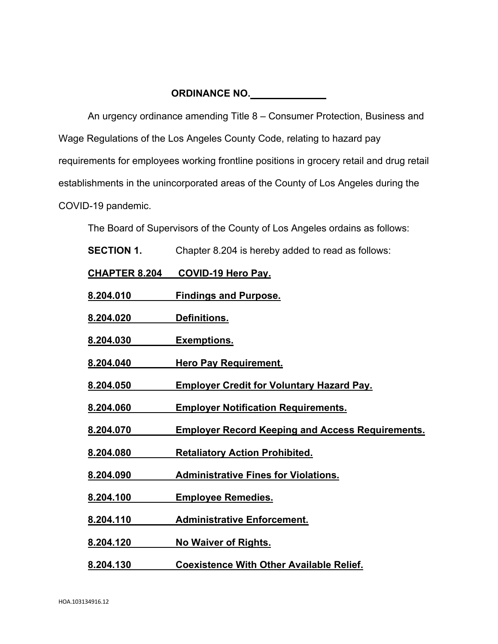# **ORDINANCE NO.**

An urgency ordinance amending Title 8 – Consumer Protection, Business and Wage Regulations of the Los Angeles County Code, relating to hazard pay requirements for employees working frontline positions in grocery retail and drug retail establishments in the unincorporated areas of the County of Los Angeles during the COVID-19 pandemic.

The Board of Supervisors of the County of Los Angeles ordains as follows:

**SECTION 1.** Chapter 8.204 is hereby added to read as follows:

**CHAPTER 8.204 COVID-19 Hero Pay.**

**8.204.010 Findings and Purpose.**

**8.204.020 Definitions.**

**8.204.030 Exemptions.**

**8.204.040 Hero Pay Requirement.**

**8.204.050 Employer Credit for Voluntary Hazard Pay.**

**8.204.060 Employer Notification Requirements.**

**8.204.070 Employer Record Keeping and Access Requirements.**

**8.204.080 Retaliatory Action Prohibited.**

**8.204.090 Administrative Fines for Violations.**

**8.204.100 Employee Remedies.**

**8.204.110 Administrative Enforcement.**

**8.204.120 No Waiver of Rights.** 

**8.204.130 Coexistence With Other Available Relief.**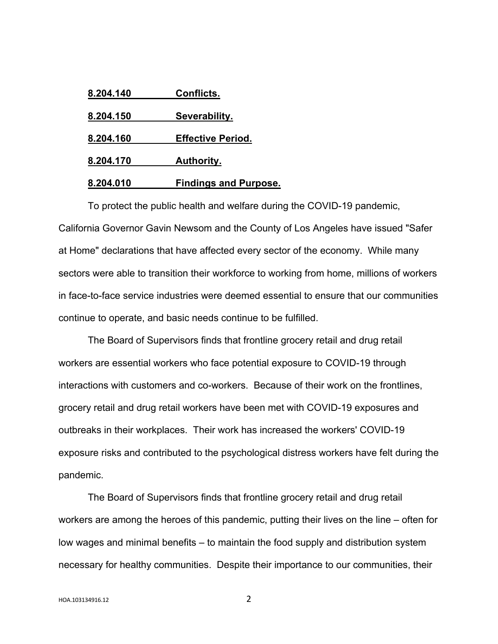| 8.204.140 | Conflicts.                   |
|-----------|------------------------------|
| 8.204.150 | Severability.                |
| 8.204.160 | <b>Effective Period.</b>     |
| 8.204.170 | <b>Authority.</b>            |
| 8.204.010 | <b>Findings and Purpose.</b> |

To protect the public health and welfare during the COVID-19 pandemic, California Governor Gavin Newsom and the County of Los Angeles have issued "Safer at Home" declarations that have affected every sector of the economy. While many sectors were able to transition their workforce to working from home, millions of workers in face-to-face service industries were deemed essential to ensure that our communities continue to operate, and basic needs continue to be fulfilled.

The Board of Supervisors finds that frontline grocery retail and drug retail workers are essential workers who face potential exposure to COVID-19 through interactions with customers and co-workers. Because of their work on the frontlines, grocery retail and drug retail workers have been met with COVID-19 exposures and outbreaks in their workplaces. Their work has increased the workers' COVID-19 exposure risks and contributed to the psychological distress workers have felt during the pandemic.

The Board of Supervisors finds that frontline grocery retail and drug retail workers are among the heroes of this pandemic, putting their lives on the line – often for low wages and minimal benefits – to maintain the food supply and distribution system necessary for healthy communities. Despite their importance to our communities, their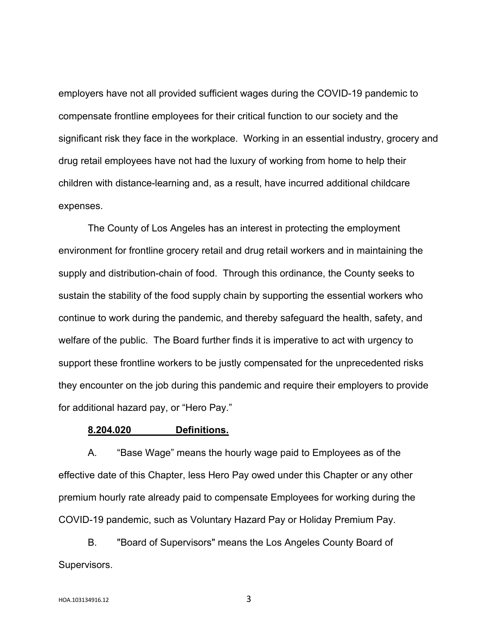employers have not all provided sufficient wages during the COVID-19 pandemic to compensate frontline employees for their critical function to our society and the significant risk they face in the workplace. Working in an essential industry, grocery and drug retail employees have not had the luxury of working from home to help their children with distance-learning and, as a result, have incurred additional childcare expenses.

The County of Los Angeles has an interest in protecting the employment environment for frontline grocery retail and drug retail workers and in maintaining the supply and distribution-chain of food. Through this ordinance, the County seeks to sustain the stability of the food supply chain by supporting the essential workers who continue to work during the pandemic, and thereby safeguard the health, safety, and welfare of the public. The Board further finds it is imperative to act with urgency to support these frontline workers to be justly compensated for the unprecedented risks they encounter on the job during this pandemic and require their employers to provide for additional hazard pay, or "Hero Pay."

## **8.204.020 Definitions.**

A. "Base Wage" means the hourly wage paid to Employees as of the effective date of this Chapter, less Hero Pay owed under this Chapter or any other premium hourly rate already paid to compensate Employees for working during the COVID-19 pandemic, such as Voluntary Hazard Pay or Holiday Premium Pay.

B. "Board of Supervisors" means the Los Angeles County Board of Supervisors.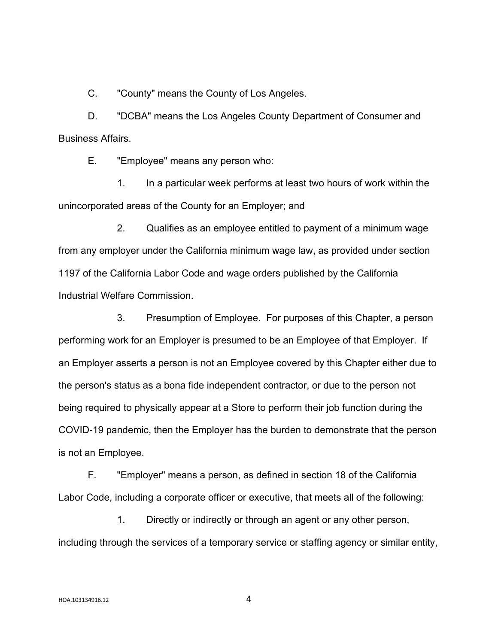C. "County" means the County of Los Angeles.

D. "DCBA" means the Los Angeles County Department of Consumer and Business Affairs.

E. "Employee" means any person who:

1. In a particular week performs at least two hours of work within the unincorporated areas of the County for an Employer; and

2. Qualifies as an employee entitled to payment of a minimum wage from any employer under the California minimum wage law, as provided under section 1197 of the California Labor Code and wage orders published by the California Industrial Welfare Commission.

3. Presumption of Employee. For purposes of this Chapter, a person performing work for an Employer is presumed to be an Employee of that Employer. If an Employer asserts a person is not an Employee covered by this Chapter either due to the person's status as a bona fide independent contractor, or due to the person not being required to physically appear at a Store to perform their job function during the COVID-19 pandemic, then the Employer has the burden to demonstrate that the person is not an Employee.

F. "Employer" means a person, as defined in section 18 of the California Labor Code, including a corporate officer or executive, that meets all of the following:

1. Directly or indirectly or through an agent or any other person, including through the services of a temporary service or staffing agency or similar entity,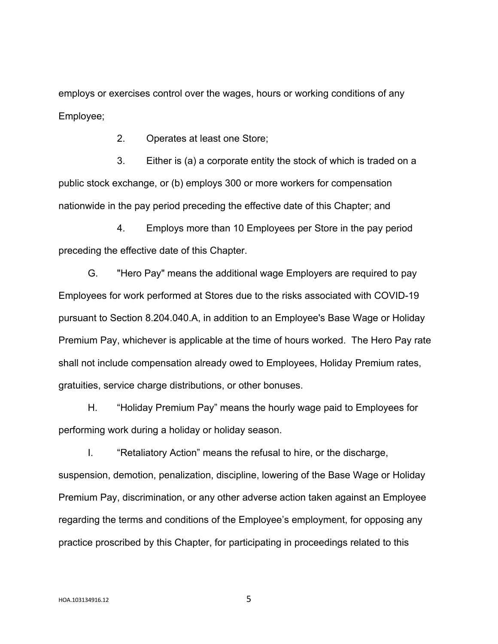employs or exercises control over the wages, hours or working conditions of any Employee;

2. Operates at least one Store;

3. Either is (a) a corporate entity the stock of which is traded on a public stock exchange, or (b) employs 300 or more workers for compensation nationwide in the pay period preceding the effective date of this Chapter; and

4. Employs more than 10 Employees per Store in the pay period preceding the effective date of this Chapter.

G. "Hero Pay" means the additional wage Employers are required to pay Employees for work performed at Stores due to the risks associated with COVID-19 pursuant to Section 8.204.040.A, in addition to an Employee's Base Wage or Holiday Premium Pay, whichever is applicable at the time of hours worked. The Hero Pay rate shall not include compensation already owed to Employees, Holiday Premium rates, gratuities, service charge distributions, or other bonuses.

H. "Holiday Premium Pay" means the hourly wage paid to Employees for performing work during a holiday or holiday season.

I. "Retaliatory Action" means the refusal to hire, or the discharge, suspension, demotion, penalization, discipline, lowering of the Base Wage or Holiday Premium Pay, discrimination, or any other adverse action taken against an Employee regarding the terms and conditions of the Employee's employment, for opposing any practice proscribed by this Chapter, for participating in proceedings related to this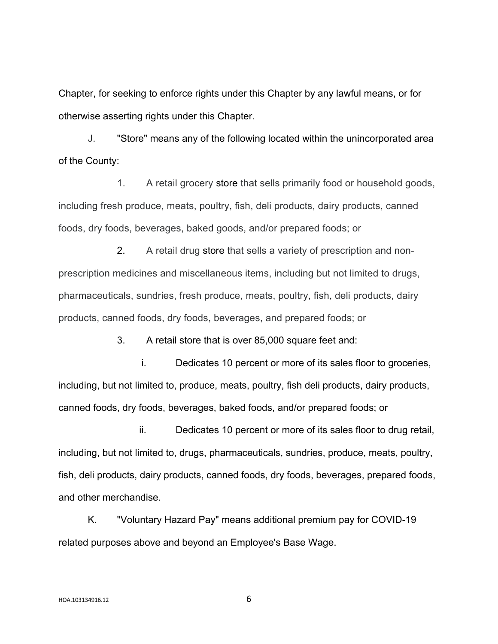Chapter, for seeking to enforce rights under this Chapter by any lawful means, or for otherwise asserting rights under this Chapter.

J. "Store" means any of the following located within the unincorporated area of the County:

1. A retail grocery store that sells primarily food or household goods, including fresh produce, meats, poultry, fish, deli products, dairy products, canned foods, dry foods, beverages, baked goods, and/or prepared foods; or

2. A retail drug store that sells a variety of prescription and nonprescription medicines and miscellaneous items, including but not limited to drugs, pharmaceuticals, sundries, fresh produce, meats, poultry, fish, deli products, dairy products, canned foods, dry foods, beverages, and prepared foods; or

3. A retail store that is over 85,000 square feet and:

i. Dedicates 10 percent or more of its sales floor to groceries, including, but not limited to, produce, meats, poultry, fish deli products, dairy products, canned foods, dry foods, beverages, baked foods, and/or prepared foods; or

ii. Dedicates 10 percent or more of its sales floor to drug retail, including, but not limited to, drugs, pharmaceuticals, sundries, produce, meats, poultry, fish, deli products, dairy products, canned foods, dry foods, beverages, prepared foods, and other merchandise.

K. "Voluntary Hazard Pay" means additional premium pay for COVID-19 related purposes above and beyond an Employee's Base Wage.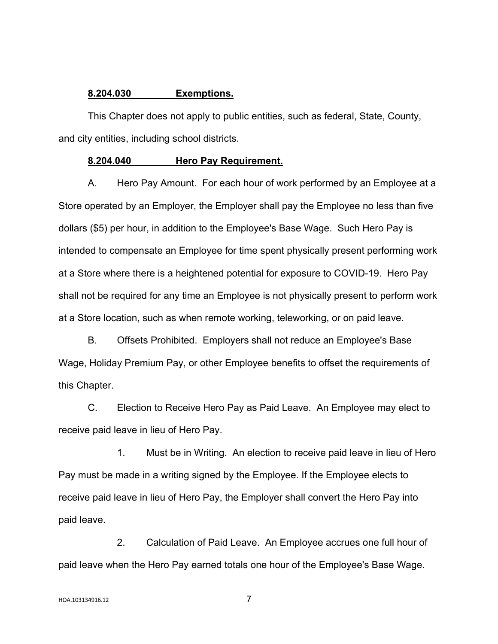## **8.204.030 Exemptions.**

This Chapter does not apply to public entities, such as federal, State, County, and city entities, including school districts.

### **8.204.040 Hero Pay Requirement.**

A. Hero Pay Amount. For each hour of work performed by an Employee at a Store operated by an Employer, the Employer shall pay the Employee no less than five dollars (\$5) per hour, in addition to the Employee's Base Wage. Such Hero Pay is intended to compensate an Employee for time spent physically present performing work at a Store where there is a heightened potential for exposure to COVID-19. Hero Pay shall not be required for any time an Employee is not physically present to perform work at a Store location, such as when remote working, teleworking, or on paid leave.

B. Offsets Prohibited. Employers shall not reduce an Employee's Base Wage, Holiday Premium Pay, or other Employee benefits to offset the requirements of this Chapter.

C. Election to Receive Hero Pay as Paid Leave. An Employee may elect to receive paid leave in lieu of Hero Pay.

1. Must be in Writing. An election to receive paid leave in lieu of Hero Pay must be made in a writing signed by the Employee. If the Employee elects to receive paid leave in lieu of Hero Pay, the Employer shall convert the Hero Pay into paid leave.

2. Calculation of Paid Leave. An Employee accrues one full hour of paid leave when the Hero Pay earned totals one hour of the Employee's Base Wage.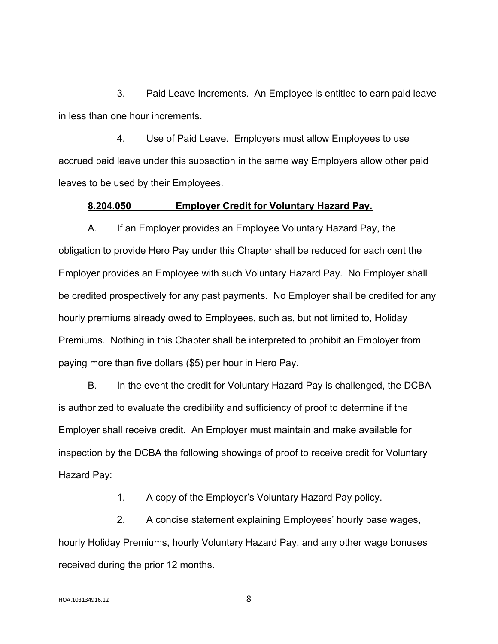3. Paid Leave Increments. An Employee is entitled to earn paid leave in less than one hour increments.

4. Use of Paid Leave. Employers must allow Employees to use accrued paid leave under this subsection in the same way Employers allow other paid leaves to be used by their Employees.

## **8.204.050 Employer Credit for Voluntary Hazard Pay.**

A. If an Employer provides an Employee Voluntary Hazard Pay, the obligation to provide Hero Pay under this Chapter shall be reduced for each cent the Employer provides an Employee with such Voluntary Hazard Pay. No Employer shall be credited prospectively for any past payments. No Employer shall be credited for any hourly premiums already owed to Employees, such as, but not limited to, Holiday Premiums. Nothing in this Chapter shall be interpreted to prohibit an Employer from paying more than five dollars (\$5) per hour in Hero Pay.

B. In the event the credit for Voluntary Hazard Pay is challenged, the DCBA is authorized to evaluate the credibility and sufficiency of proof to determine if the Employer shall receive credit. An Employer must maintain and make available for inspection by the DCBA the following showings of proof to receive credit for Voluntary Hazard Pay:

1. A copy of the Employer's Voluntary Hazard Pay policy.

2. A concise statement explaining Employees' hourly base wages, hourly Holiday Premiums, hourly Voluntary Hazard Pay, and any other wage bonuses received during the prior 12 months.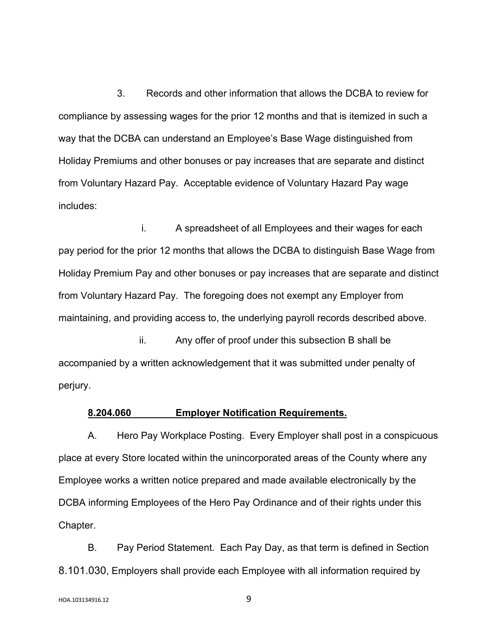3. Records and other information that allows the DCBA to review for compliance by assessing wages for the prior 12 months and that is itemized in such a way that the DCBA can understand an Employee's Base Wage distinguished from Holiday Premiums and other bonuses or pay increases that are separate and distinct from Voluntary Hazard Pay. Acceptable evidence of Voluntary Hazard Pay wage includes:

i. A spreadsheet of all Employees and their wages for each pay period for the prior 12 months that allows the DCBA to distinguish Base Wage from Holiday Premium Pay and other bonuses or pay increases that are separate and distinct from Voluntary Hazard Pay. The foregoing does not exempt any Employer from maintaining, and providing access to, the underlying payroll records described above.

ii. Any offer of proof under this subsection B shall be accompanied by a written acknowledgement that it was submitted under penalty of perjury.

## **8.204.060 Employer Notification Requirements.**

A. Hero Pay Workplace Posting. Every Employer shall post in a conspicuous place at every Store located within the unincorporated areas of the County where any Employee works a written notice prepared and made available electronically by the DCBA informing Employees of the Hero Pay Ordinance and of their rights under this Chapter.

B. Pay Period Statement. Each Pay Day, as that term is defined in Section 8.101.030, Employers shall provide each Employee with all information required by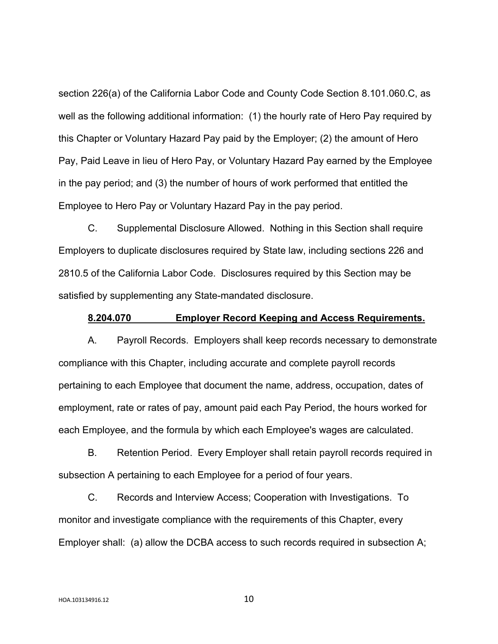section 226(a) of the California Labor Code and County Code Section 8.101.060.C, as well as the following additional information: (1) the hourly rate of Hero Pay required by this Chapter or Voluntary Hazard Pay paid by the Employer; (2) the amount of Hero Pay, Paid Leave in lieu of Hero Pay, or Voluntary Hazard Pay earned by the Employee in the pay period; and (3) the number of hours of work performed that entitled the Employee to Hero Pay or Voluntary Hazard Pay in the pay period.

C. Supplemental Disclosure Allowed. Nothing in this Section shall require Employers to duplicate disclosures required by State law, including sections 226 and 2810.5 of the California Labor Code. Disclosures required by this Section may be satisfied by supplementing any State-mandated disclosure.

### **8.204.070 Employer Record Keeping and Access Requirements.**

A. Payroll Records. Employers shall keep records necessary to demonstrate compliance with this Chapter, including accurate and complete payroll records pertaining to each Employee that document the name, address, occupation, dates of employment, rate or rates of pay, amount paid each Pay Period, the hours worked for each Employee, and the formula by which each Employee's wages are calculated.

B. Retention Period. Every Employer shall retain payroll records required in subsection A pertaining to each Employee for a period of four years.

C. Records and Interview Access; Cooperation with Investigations. To monitor and investigate compliance with the requirements of this Chapter, every Employer shall: (a) allow the DCBA access to such records required in subsection A;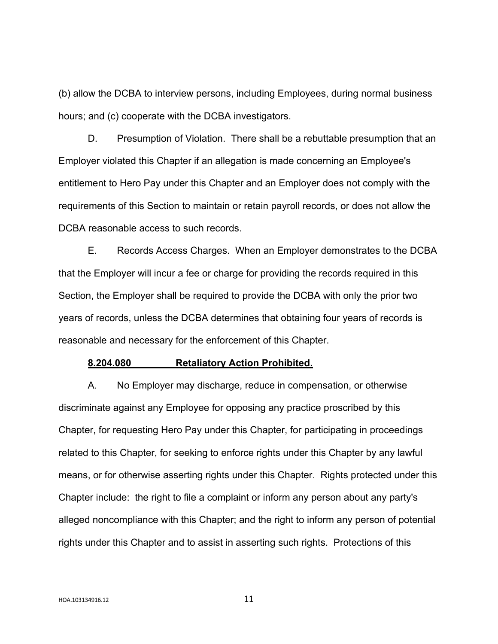(b) allow the DCBA to interview persons, including Employees, during normal business hours; and (c) cooperate with the DCBA investigators.

D. Presumption of Violation. There shall be a rebuttable presumption that an Employer violated this Chapter if an allegation is made concerning an Employee's entitlement to Hero Pay under this Chapter and an Employer does not comply with the requirements of this Section to maintain or retain payroll records, or does not allow the DCBA reasonable access to such records.

E. Records Access Charges. When an Employer demonstrates to the DCBA that the Employer will incur a fee or charge for providing the records required in this Section, the Employer shall be required to provide the DCBA with only the prior two years of records, unless the DCBA determines that obtaining four years of records is reasonable and necessary for the enforcement of this Chapter.

#### **8.204.080 Retaliatory Action Prohibited.**

A. No Employer may discharge, reduce in compensation, or otherwise discriminate against any Employee for opposing any practice proscribed by this Chapter, for requesting Hero Pay under this Chapter, for participating in proceedings related to this Chapter, for seeking to enforce rights under this Chapter by any lawful means, or for otherwise asserting rights under this Chapter. Rights protected under this Chapter include: the right to file a complaint or inform any person about any party's alleged noncompliance with this Chapter; and the right to inform any person of potential rights under this Chapter and to assist in asserting such rights. Protections of this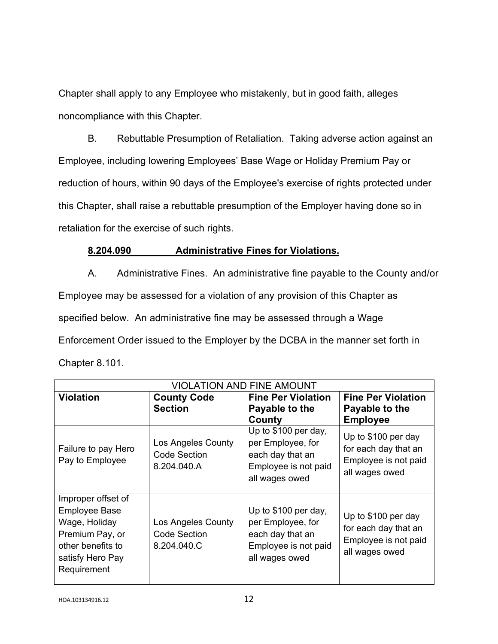Chapter shall apply to any Employee who mistakenly, but in good faith, alleges noncompliance with this Chapter.

B. Rebuttable Presumption of Retaliation. Taking adverse action against an Employee, including lowering Employees' Base Wage or Holiday Premium Pay or reduction of hours, within 90 days of the Employee's exercise of rights protected under this Chapter, shall raise a rebuttable presumption of the Employer having done so in retaliation for the exercise of such rights.

# **8.204.090 Administrative Fines for Violations.**

A. Administrative Fines. An administrative fine payable to the County and/or Employee may be assessed for a violation of any provision of this Chapter as specified below. An administrative fine may be assessed through a Wage Enforcement Order issued to the Employer by the DCBA in the manner set forth in Chapter 8.101.

| <b>VIOLATION AND FINE AMOUNT</b>                                                                                                       |                                                   |                                                                                                                   |                                                                                                          |  |  |  |
|----------------------------------------------------------------------------------------------------------------------------------------|---------------------------------------------------|-------------------------------------------------------------------------------------------------------------------|----------------------------------------------------------------------------------------------------------|--|--|--|
| <b>Violation</b>                                                                                                                       | <b>County Code</b>                                | <b>Fine Per Violation</b>                                                                                         | <b>Fine Per Violation</b>                                                                                |  |  |  |
|                                                                                                                                        | <b>Section</b>                                    | Payable to the                                                                                                    | Payable to the                                                                                           |  |  |  |
| Failure to pay Hero<br>Pay to Employee                                                                                                 | Los Angeles County<br>Code Section<br>8.204.040.A | County<br>Up to \$100 per day,<br>per Employee, for<br>each day that an<br>Employee is not paid<br>all wages owed | <b>Employee</b><br>Up to \$100 per day<br>for each day that an<br>Employee is not paid<br>all wages owed |  |  |  |
| Improper offset of<br><b>Employee Base</b><br>Wage, Holiday<br>Premium Pay, or<br>other benefits to<br>satisfy Hero Pay<br>Requirement | Los Angeles County<br>Code Section<br>8.204.040.C | Up to \$100 per day,<br>per Employee, for<br>each day that an<br>Employee is not paid<br>all wages owed           | Up to \$100 per day<br>for each day that an<br>Employee is not paid<br>all wages owed                    |  |  |  |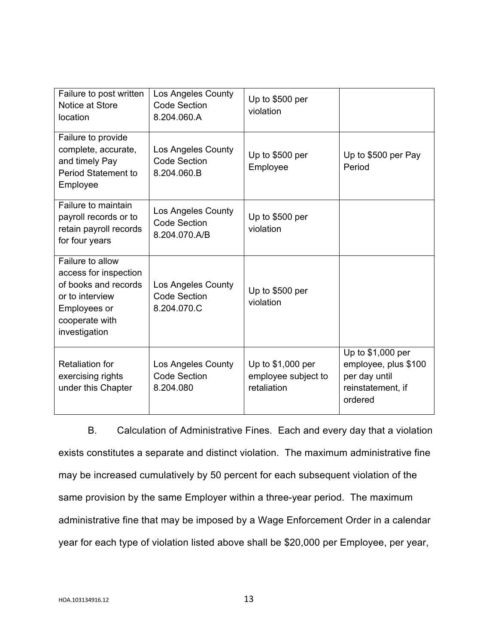| Failure to post written<br>Notice at Store<br>location                                                                                  | Los Angeles County<br><b>Code Section</b><br>8.204.060.A        | Up to \$500 per<br>violation                            |                                                                                            |
|-----------------------------------------------------------------------------------------------------------------------------------------|-----------------------------------------------------------------|---------------------------------------------------------|--------------------------------------------------------------------------------------------|
| Failure to provide<br>complete, accurate,<br>and timely Pay<br><b>Period Statement to</b><br>Employee                                   | <b>Los Angeles County</b><br><b>Code Section</b><br>8.204.060.B | Up to \$500 per<br>Employee                             | Up to \$500 per Pay<br>Period                                                              |
| Failure to maintain<br>payroll records or to<br>retain payroll records<br>for four years                                                | Los Angeles County<br><b>Code Section</b><br>8.204.070.A/B      | Up to \$500 per<br>violation                            |                                                                                            |
| Failure to allow<br>access for inspection<br>of books and records<br>or to interview<br>Employees or<br>cooperate with<br>investigation | Los Angeles County<br><b>Code Section</b><br>8.204.070.C        | Up to \$500 per<br>violation                            |                                                                                            |
| <b>Retaliation for</b><br>exercising rights<br>under this Chapter                                                                       | Los Angeles County<br><b>Code Section</b><br>8.204.080          | Up to \$1,000 per<br>employee subject to<br>retaliation | Up to \$1,000 per<br>employee, plus \$100<br>per day until<br>reinstatement, if<br>ordered |

B. Calculation of Administrative Fines. Each and every day that a violation exists constitutes a separate and distinct violation. The maximum administrative fine may be increased cumulatively by 50 percent for each subsequent violation of the same provision by the same Employer within a three-year period. The maximum administrative fine that may be imposed by a Wage Enforcement Order in a calendar year for each type of violation listed above shall be \$20,000 per Employee, per year,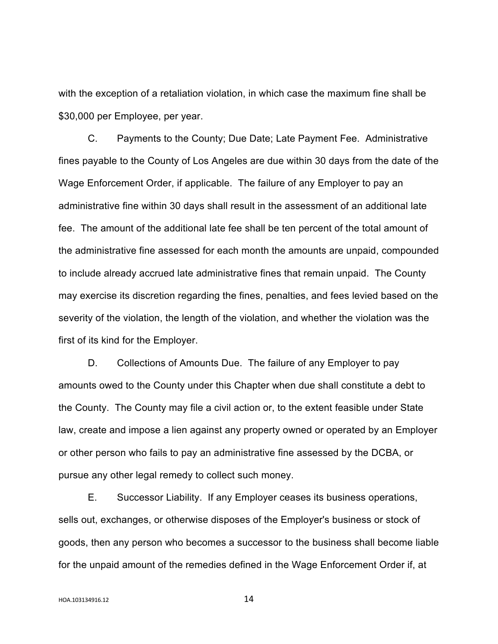with the exception of a retaliation violation, in which case the maximum fine shall be \$30,000 per Employee, per year.

C. Payments to the County; Due Date; Late Payment Fee. Administrative fines payable to the County of Los Angeles are due within 30 days from the date of the Wage Enforcement Order, if applicable. The failure of any Employer to pay an administrative fine within 30 days shall result in the assessment of an additional late fee. The amount of the additional late fee shall be ten percent of the total amount of the administrative fine assessed for each month the amounts are unpaid, compounded to include already accrued late administrative fines that remain unpaid. The County may exercise its discretion regarding the fines, penalties, and fees levied based on the severity of the violation, the length of the violation, and whether the violation was the first of its kind for the Employer.

D. Collections of Amounts Due. The failure of any Employer to pay amounts owed to the County under this Chapter when due shall constitute a debt to the County. The County may file a civil action or, to the extent feasible under State law, create and impose a lien against any property owned or operated by an Employer or other person who fails to pay an administrative fine assessed by the DCBA, or pursue any other legal remedy to collect such money.

E. Successor Liability. If any Employer ceases its business operations, sells out, exchanges, or otherwise disposes of the Employer's business or stock of goods, then any person who becomes a successor to the business shall become liable for the unpaid amount of the remedies defined in the Wage Enforcement Order if, at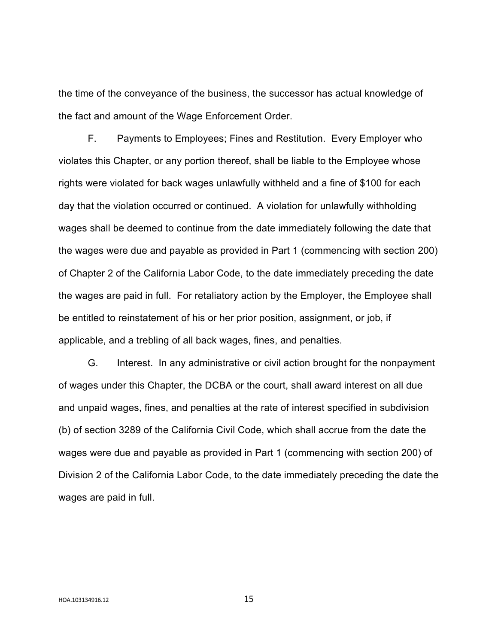the time of the conveyance of the business, the successor has actual knowledge of the fact and amount of the Wage Enforcement Order.

F. Payments to Employees; Fines and Restitution. Every Employer who violates this Chapter, or any portion thereof, shall be liable to the Employee whose rights were violated for back wages unlawfully withheld and a fine of \$100 for each day that the violation occurred or continued. A violation for unlawfully withholding wages shall be deemed to continue from the date immediately following the date that the wages were due and payable as provided in Part 1 (commencing with section 200) of Chapter 2 of the California Labor Code, to the date immediately preceding the date the wages are paid in full. For retaliatory action by the Employer, the Employee shall be entitled to reinstatement of his or her prior position, assignment, or job, if applicable, and a trebling of all back wages, fines, and penalties.

G. Interest. In any administrative or civil action brought for the nonpayment of wages under this Chapter, the DCBA or the court, shall award interest on all due and unpaid wages, fines, and penalties at the rate of interest specified in subdivision (b) of section 3289 of the California Civil Code, which shall accrue from the date the wages were due and payable as provided in Part 1 (commencing with section 200) of Division 2 of the California Labor Code, to the date immediately preceding the date the wages are paid in full.

HOA.103134916.12 15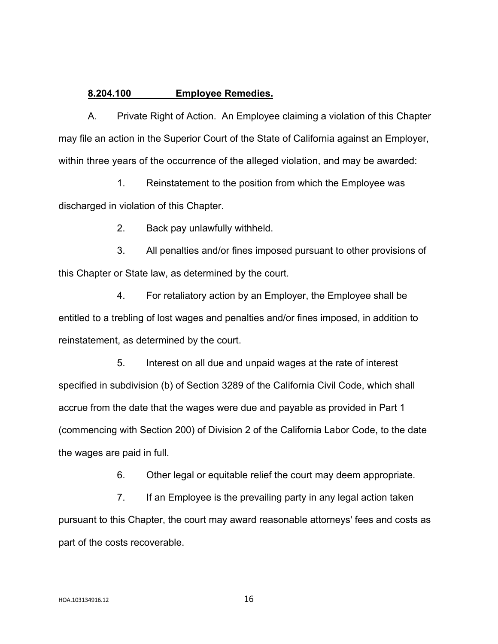## **8.204.100 Employee Remedies.**

A. Private Right of Action. An Employee claiming a violation of this Chapter may file an action in the Superior Court of the State of California against an Employer, within three years of the occurrence of the alleged violation, and may be awarded:

1. Reinstatement to the position from which the Employee was discharged in violation of this Chapter.

2. Back pay unlawfully withheld.

3. All penalties and/or fines imposed pursuant to other provisions of this Chapter or State law, as determined by the court.

4. For retaliatory action by an Employer, the Employee shall be entitled to a trebling of lost wages and penalties and/or fines imposed, in addition to reinstatement, as determined by the court.

5. Interest on all due and unpaid wages at the rate of interest specified in subdivision (b) of Section 3289 of the California Civil Code, which shall accrue from the date that the wages were due and payable as provided in Part 1 (commencing with Section 200) of Division 2 of the California Labor Code, to the date the wages are paid in full.

6. Other legal or equitable relief the court may deem appropriate.

7. If an Employee is the prevailing party in any legal action taken pursuant to this Chapter, the court may award reasonable attorneys' fees and costs as part of the costs recoverable.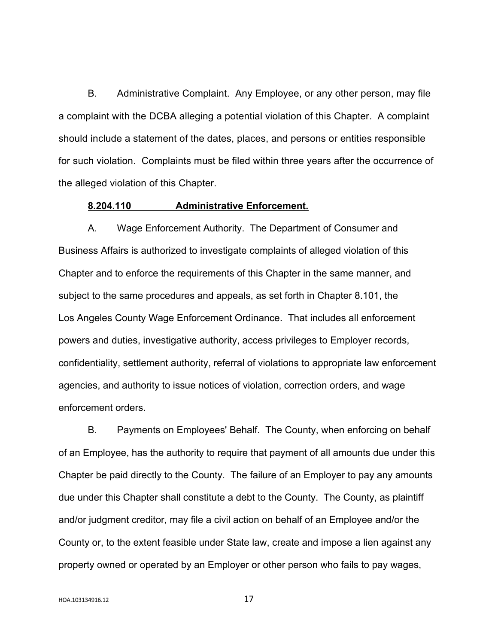B. Administrative Complaint. Any Employee, or any other person, may file a complaint with the DCBA alleging a potential violation of this Chapter. A complaint should include a statement of the dates, places, and persons or entities responsible for such violation. Complaints must be filed within three years after the occurrence of the alleged violation of this Chapter.

## **8.204.110 Administrative Enforcement.**

A. Wage Enforcement Authority. The Department of Consumer and Business Affairs is authorized to investigate complaints of alleged violation of this Chapter and to enforce the requirements of this Chapter in the same manner, and subject to the same procedures and appeals, as set forth in Chapter 8.101, the Los Angeles County Wage Enforcement Ordinance. That includes all enforcement powers and duties, investigative authority, access privileges to Employer records, confidentiality, settlement authority, referral of violations to appropriate law enforcement agencies, and authority to issue notices of violation, correction orders, and wage enforcement orders.

B. Payments on Employees' Behalf. The County, when enforcing on behalf of an Employee, has the authority to require that payment of all amounts due under this Chapter be paid directly to the County. The failure of an Employer to pay any amounts due under this Chapter shall constitute a debt to the County. The County, as plaintiff and/or judgment creditor, may file a civil action on behalf of an Employee and/or the County or, to the extent feasible under State law, create and impose a lien against any property owned or operated by an Employer or other person who fails to pay wages,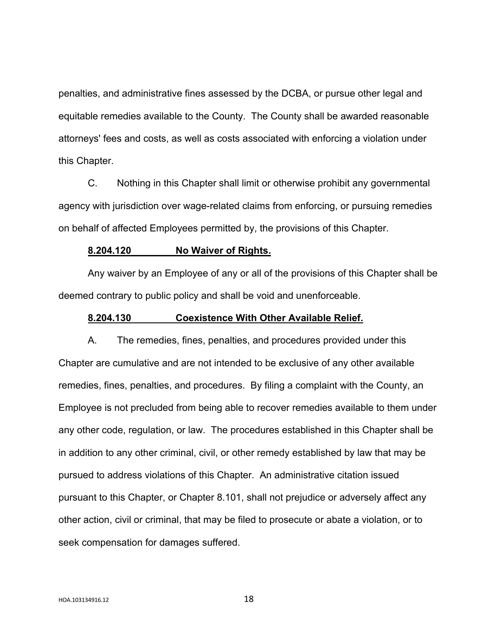penalties, and administrative fines assessed by the DCBA, or pursue other legal and equitable remedies available to the County. The County shall be awarded reasonable attorneys' fees and costs, as well as costs associated with enforcing a violation under this Chapter.

C. Nothing in this Chapter shall limit or otherwise prohibit any governmental agency with jurisdiction over wage-related claims from enforcing, or pursuing remedies on behalf of affected Employees permitted by, the provisions of this Chapter.

### **8.204.120 No Waiver of Rights.**

Any waiver by an Employee of any or all of the provisions of this Chapter shall be deemed contrary to public policy and shall be void and unenforceable.

### **8.204.130 Coexistence With Other Available Relief.**

A. The remedies, fines, penalties, and procedures provided under this Chapter are cumulative and are not intended to be exclusive of any other available remedies, fines, penalties, and procedures. By filing a complaint with the County, an Employee is not precluded from being able to recover remedies available to them under any other code, regulation, or law. The procedures established in this Chapter shall be in addition to any other criminal, civil, or other remedy established by law that may be pursued to address violations of this Chapter. An administrative citation issued pursuant to this Chapter, or Chapter 8.101, shall not prejudice or adversely affect any other action, civil or criminal, that may be filed to prosecute or abate a violation, or to seek compensation for damages suffered.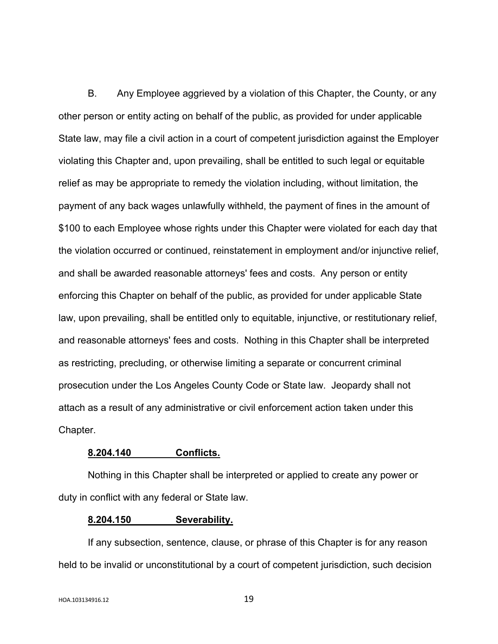B. Any Employee aggrieved by a violation of this Chapter, the County, or any other person or entity acting on behalf of the public, as provided for under applicable State law, may file a civil action in a court of competent jurisdiction against the Employer violating this Chapter and, upon prevailing, shall be entitled to such legal or equitable relief as may be appropriate to remedy the violation including, without limitation, the payment of any back wages unlawfully withheld, the payment of fines in the amount of \$100 to each Employee whose rights under this Chapter were violated for each day that the violation occurred or continued, reinstatement in employment and/or injunctive relief, and shall be awarded reasonable attorneys' fees and costs. Any person or entity enforcing this Chapter on behalf of the public, as provided for under applicable State law, upon prevailing, shall be entitled only to equitable, injunctive, or restitutionary relief, and reasonable attorneys' fees and costs. Nothing in this Chapter shall be interpreted as restricting, precluding, or otherwise limiting a separate or concurrent criminal prosecution under the Los Angeles County Code or State law. Jeopardy shall not attach as a result of any administrative or civil enforcement action taken under this Chapter.

## **8.204.140 Conflicts.**

Nothing in this Chapter shall be interpreted or applied to create any power or duty in conflict with any federal or State law.

#### **8.204.150 Severability.**

If any subsection, sentence, clause, or phrase of this Chapter is for any reason held to be invalid or unconstitutional by a court of competent jurisdiction, such decision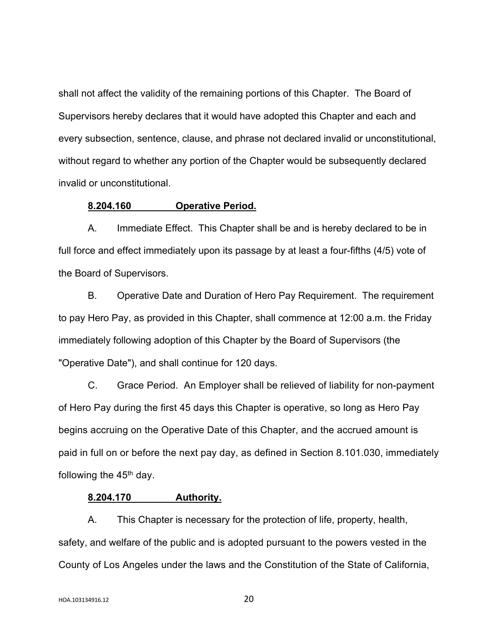shall not affect the validity of the remaining portions of this Chapter. The Board of Supervisors hereby declares that it would have adopted this Chapter and each and every subsection, sentence, clause, and phrase not declared invalid or unconstitutional, without regard to whether any portion of the Chapter would be subsequently declared invalid or unconstitutional.

## **8.204.160 Operative Period.**

A. Immediate Effect. This Chapter shall be and is hereby declared to be in full force and effect immediately upon its passage by at least a four-fifths (4/5) vote of the Board of Supervisors.

B. Operative Date and Duration of Hero Pay Requirement. The requirement to pay Hero Pay, as provided in this Chapter, shall commence at 12:00 a.m. the Friday immediately following adoption of this Chapter by the Board of Supervisors (the "Operative Date"), and shall continue for 120 days.

C. Grace Period. An Employer shall be relieved of liability for non-payment of Hero Pay during the first 45 days this Chapter is operative, so long as Hero Pay begins accruing on the Operative Date of this Chapter, and the accrued amount is paid in full on or before the next pay day, as defined in Section 8.101.030, immediately following the  $45<sup>th</sup>$  day.

### **8.204.170 Authority.**

A. This Chapter is necessary for the protection of life, property, health, safety, and welfare of the public and is adopted pursuant to the powers vested in the County of Los Angeles under the laws and the Constitution of the State of California,